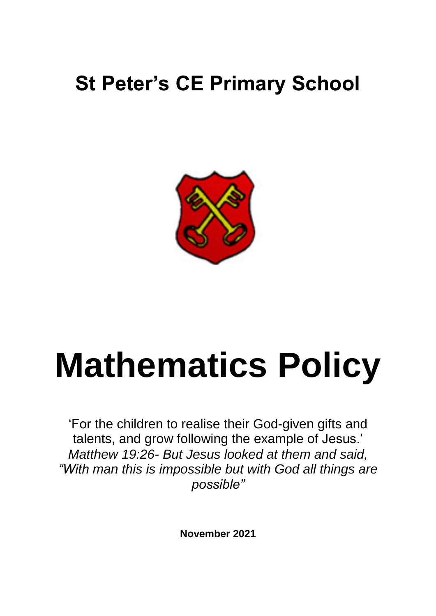## **St Peter's CE Primary School**



# **Mathematics Policy**

'For the children to realise their God-given gifts and talents, and grow following the example of Jesus.' *Matthew 19:26- But Jesus looked at them and said, "With man this is impossible but with God all things are possible"*

**November 2021**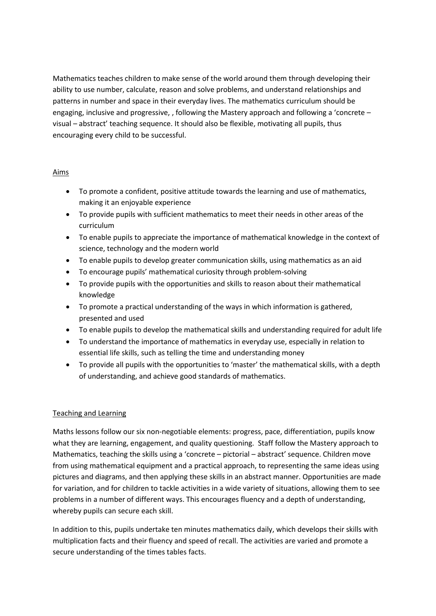Mathematics teaches children to make sense of the world around them through developing their ability to use number, calculate, reason and solve problems, and understand relationships and patterns in number and space in their everyday lives. The mathematics curriculum should be engaging, inclusive and progressive, , following the Mastery approach and following a 'concrete – visual – abstract' teaching sequence. It should also be flexible, motivating all pupils, thus encouraging every child to be successful.

### Aims

- To promote a confident, positive attitude towards the learning and use of mathematics, making it an enjoyable experience
- To provide pupils with sufficient mathematics to meet their needs in other areas of the curriculum
- To enable pupils to appreciate the importance of mathematical knowledge in the context of science, technology and the modern world
- To enable pupils to develop greater communication skills, using mathematics as an aid
- To encourage pupils' mathematical curiosity through problem-solving
- To provide pupils with the opportunities and skills to reason about their mathematical knowledge
- To promote a practical understanding of the ways in which information is gathered, presented and used
- To enable pupils to develop the mathematical skills and understanding required for adult life
- To understand the importance of mathematics in everyday use, especially in relation to essential life skills, such as telling the time and understanding money
- To provide all pupils with the opportunities to 'master' the mathematical skills, with a depth of understanding, and achieve good standards of mathematics.

### Teaching and Learning

Maths lessons follow our six non-negotiable elements: progress, pace, differentiation, pupils know what they are learning, engagement, and quality questioning. Staff follow the Mastery approach to Mathematics, teaching the skills using a 'concrete – pictorial – abstract' sequence. Children move from using mathematical equipment and a practical approach, to representing the same ideas using pictures and diagrams, and then applying these skills in an abstract manner. Opportunities are made for variation, and for children to tackle activities in a wide variety of situations, allowing them to see problems in a number of different ways. This encourages fluency and a depth of understanding, whereby pupils can secure each skill.

In addition to this, pupils undertake ten minutes mathematics daily, which develops their skills with multiplication facts and their fluency and speed of recall. The activities are varied and promote a secure understanding of the times tables facts.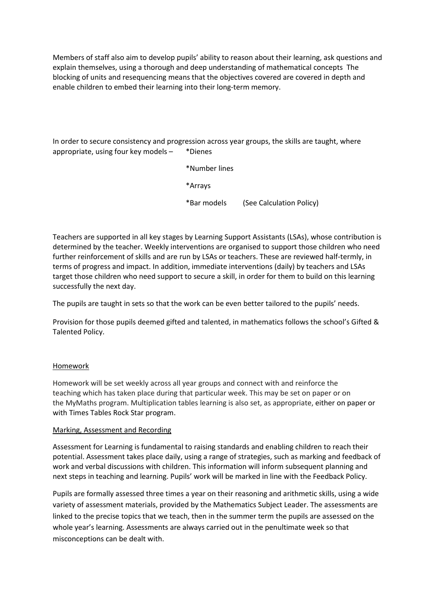Members of staff also aim to develop pupils' ability to reason about their learning, ask questions and explain themselves, using a thorough and deep understanding of mathematical concepts The blocking of units and resequencing means that the objectives covered are covered in depth and enable children to embed their learning into their long-term memory.

In order to secure consistency and progression across year groups, the skills are taught, where appropriate, using four key models – \*Dienes

> \*Number lines \*Arrays \*Bar models (See Calculation Policy)

Teachers are supported in all key stages by Learning Support Assistants (LSAs), whose contribution is determined by the teacher. Weekly interventions are organised to support those children who need further reinforcement of skills and are run by LSAs or teachers. These are reviewed half-termly, in terms of progress and impact. In addition, immediate interventions (daily) by teachers and LSAs target those children who need support to secure a skill, in order for them to build on this learning successfully the next day.

The pupils are taught in sets so that the work can be even better tailored to the pupils' needs.

Provision for those pupils deemed gifted and talented, in mathematics follows the school's Gifted & Talented Policy.

### Homework

Homework will be set weekly across all year groups and connect with and reinforce the teaching which has taken place during that particular week. This may be set on paper or on the MyMaths program. Multiplication tables learning is also set, as appropriate, either on paper or with Times Tables Rock Star program.

#### Marking, Assessment and Recording

Assessment for Learning is fundamental to raising standards and enabling children to reach their potential. Assessment takes place daily, using a range of strategies, such as marking and feedback of work and verbal discussions with children. This information will inform subsequent planning and next steps in teaching and learning. Pupils' work will be marked in line with the Feedback Policy.

Pupils are formally assessed three times a year on their reasoning and arithmetic skills, using a wide variety of assessment materials, provided by the Mathematics Subject Leader. The assessments are linked to the precise topics that we teach, then in the summer term the pupils are assessed on the whole year's learning. Assessments are always carried out in the penultimate week so that misconceptions can be dealt with.